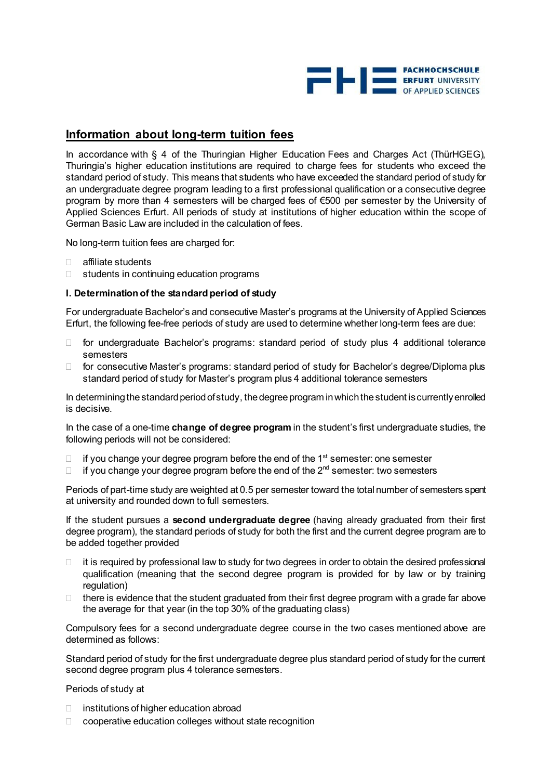

## **Information about long-term tuition fees**

In accordance with § 4 of the Thuringian Higher Education Fees and Charges Act (ThürHGEG), Thuringia's higher education institutions are required to charge fees for students who exceed the standard period of study. This means that students who have exceeded the standard period of study for an undergraduate degree program leading to a first professional qualification or a consecutive degree program by more than 4 semesters will be charged fees of €500 per semester by the University of Applied Sciences Erfurt. All periods of study at institutions of higher education within the scope of German Basic Law are included in the calculation of fees.

No long-term tuition fees are charged for:

- affiliate students
- $\Box$  students in continuing education programs

### **I. Determination of the standard period of study**

For undergraduate Bachelor's and consecutive Master's programs at the University of Applied Sciences Erfurt, the following fee-free periods of study are used to determine whether long-term fees are due:

- $\Box$  for undergraduate Bachelor's programs: standard period of study plus 4 additional tolerance semesters
- □ for consecutive Master's programs: standard period of study for Bachelor's degree/Diploma plus standard period of study for Master's program plus 4 additional tolerance semesters

In determining the standard period of study, the degree program in which the student is currently enrolled is decisive.

In the case of a one-time **change of degree program** in the student's first undergraduate studies, the following periods will not be considered:

- $\Box$  if you change your degree program before the end of the 1<sup>st</sup> semester: one semester
- $\Box$  if you change your degree program before the end of the 2<sup>nd</sup> semester: two semesters

Periods of part-time study are weighted at 0.5 per semester toward the total number of semesters spent at university and rounded down to full semesters.

If the student pursues a **second undergraduate degree** (having already graduated from their first degree program), the standard periods of study for both the first and the current degree program are to be added together provided

- $\Box$  it is required by professional law to study for two degrees in order to obtain the desired professional qualification (meaning that the second degree program is provided for by law or by training regulation)
- $\Box$  there is evidence that the student graduated from their first degree program with a grade far above the average for that year (in the top 30% of the graduating class)

Compulsory fees for a second undergraduate degree course in the two cases mentioned above are determined as follows:

Standard period of study for the first undergraduate degree plus standard period of study for the current second degree program plus 4 tolerance semesters.

Periods of study at

- $\Box$  institutions of higher education abroad
- □ cooperative education colleges without state recognition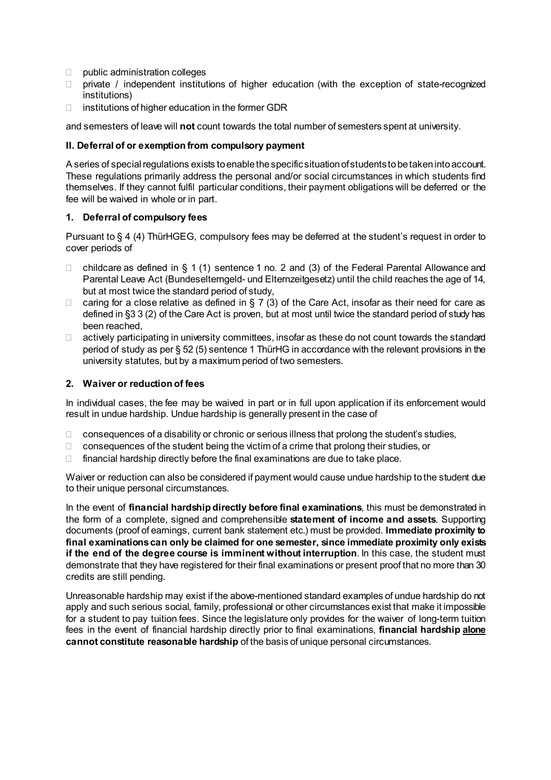- $\Box$  public administration colleges
- $\Box$  private / independent institutions of higher education (with the exception of state-recognized institutions)
- $\Box$  institutions of higher education in the former GDR

and semesters of leave will **not** count towards the total number of semesters spent at university.

## **II. Deferral of or exemption from compulsory payment**

A series of special regulations exists to enable the specific situation of students to be taken into account. These regulations primarily address the personal and/or social circumstances in which students find themselves. If they cannot fulfil particular conditions, their payment obligations will be deferred or the fee will be waived in whole or in part.

## **1. Deferral of compulsory fees**

Pursuant to § 4 (4) ThürHGEG, compulsory fees may be deferred at the student's request in order to cover periods of

- $\Box$  childcare as defined in § 1 (1) sentence 1 no. 2 and (3) of the Federal Parental Allowance and Parental Leave Act (Bundeselterngeld- und Elternzeitgesetz) until the child reaches the age of 14, but at most twice the standard period of study,
- $\Box$  caring for a close relative as defined in § 7 (3) of the Care Act, insofar as their need for care as defined in §3 3 (2) of the Care Act is proven, but at most until twice the standard period of study has been reached,
- $\Box$  actively participating in university committees, insofar as these do not count towards the standard period of study as per § 52 (5) sentence 1 ThürHG in accordance with the relevant provisions in the university statutes, but by a maximum period of two semesters.

### **2. Waiver or reduction of fees**

In individual cases, the fee may be waived in part or in full upon application if its enforcement would result in undue hardship. Undue hardship is generally present in the case of

- $\Box$  consequences of a disability or chronic or serious illness that prolong the student's studies,
- $\Box$  consequences of the student being the victim of a crime that prolong their studies, or
- $\Box$  financial hardship directly before the final examinations are due to take place.

Waiver or reduction can also be considered if payment would cause undue hardship to the student due to their unique personal circumstances.

In the event of **financial hardship directly before final examinations**, this must be demonstrated in the form of a complete, signed and comprehensible **statement of income and assets**. Supporting documents (proof of earnings, current bank statement etc.) must be provided. **Immediate proximity to final examinations can only be claimed for one semester, since immediate proximity only exists if the end of the degree course is imminent without interruption**. In this case, the student must demonstrate that they have registered for their final examinations or present proof that no more than 30 credits are still pending.

Unreasonable hardship may exist if the above-mentioned standard examples of undue hardship do not apply and such serious social, family, professional or other circumstances exist that make it impossible for a student to pay tuition fees. Since the legislature only provides for the waiver of long-term tuition fees in the event of financial hardship directly prior to final examinations, **financial hardship alone cannot constitute reasonable hardship** of the basis of unique personal circumstances.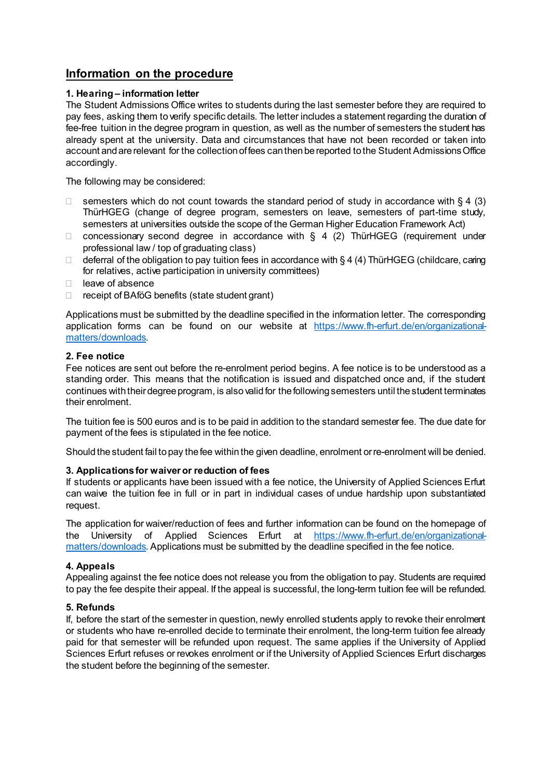# **Information on the procedure**

## **1. Hearing – information letter**

The Student Admissions Office writes to students during the last semester before they are required to pay fees, asking them to verify specific details. The letter includes a statement regarding the duration of fee-free tuition in the degree program in question, as well as the number of semesters the student has already spent at the university. Data and circumstances that have not been recorded or taken into account and are relevant for the collection of fees can then be reported to the Student Admissions Office accordingly.

The following may be considered:

- $\Box$  semesters which do not count towards the standard period of study in accordance with § 4 (3) ThürHGEG (change of degree program, semesters on leave, semesters of part-time study, semesters at universities outside the scope of the German Higher Education Framework Act)
- $\Box$  concessionary second degree in accordance with § 4 (2) ThürHGEG (requirement under professional law / top of graduating class)
- deferral of the obligation to pay tuition fees in accordance with § 4 (4) ThürHGEG (childcare, caring for relatives, active participation in university committees)
- $\Box$  leave of absence
- $\Box$  receipt of BAföG benefits (state student grant)

Applications must be submitted by the deadline specified in the information letter. The corresponding application forms can be found on our website at [https://www.fh-erfurt.de/en/organizational](https://www.fh-erfurt.de/en/organizational-matters/downloads)[matters/downloads](https://www.fh-erfurt.de/en/organizational-matters/downloads).

## **2. Fee notice**

Fee notices are sent out before the re-enrolment period begins. A fee notice is to be understood as a standing order. This means that the notification is issued and dispatched once and, if the student continues with their degree program, is also valid for the following semesters until the student terminates their enrolment.

The tuition fee is 500 euros and is to be paid in addition to the standard semester fee. The due date for payment of the fees is stipulated in the fee notice.

Should the student fail to pay the fee within the given deadline, enrolment or re-enrolment will be denied.

## **3. Applications for waiveror reduction of fees**

If students or applicants have been issued with a fee notice, the University of Applied Sciences Erfurt can waive the tuition fee in full or in part in individual cases of undue hardship upon substantiated request.

The application for waiver/reduction of fees and further information can be found on the homepage of the University of Applied Sciences Erfurt at [https://www.fh-erfurt.de/en/organizational](https://www.fh-erfurt.de/en/organizational-matters/downloads)[matters/downloads](https://www.fh-erfurt.de/en/organizational-matters/downloads). Applications must be submitted by the deadline specified in the fee notice.

## **4. Appeals**

Appealing against the fee notice does not release you from the obligation to pay. Students are required to pay the fee despite their appeal. If the appeal is successful, the long-term tuition fee will be refunded.

## **5. Refunds**

If, before the start of the semester in question, newly enrolled students apply to revoke their enrolment or students who have re-enrolled decide to terminate their enrolment, the long-term tuition fee already paid for that semester will be refunded upon request. The same applies if the University of Applied Sciences Erfurt refuses or revokes enrolment or if the University of Applied Sciences Erfurt discharges the student before the beginning of the semester.